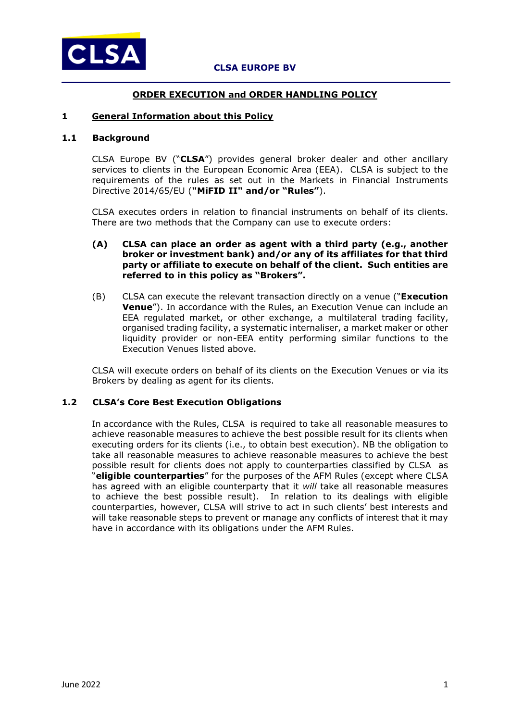

## **ORDER EXECUTION and ORDER HANDLING POLICY**

### **1 General Information about this Policy**

## **1.1 Background**

CLSA Europe BV ("**CLSA**") provides general broker dealer and other ancillary services to clients in the European Economic Area (EEA). CLSA is subject to the requirements of the rules as set out in the Markets in Financial Instruments Directive 2014/65/EU (**"MiFID II" and/or "Rules"**).

CLSA executes orders in relation to financial instruments on behalf of its clients. There are two methods that the Company can use to execute orders:

#### **(A) CLSA can place an order as agent with a third party (e.g., another broker or investment bank) and/or any of its affiliates for that third party or affiliate to execute on behalf of the client. Such entities are referred to in this policy as "Brokers".**

(B) CLSA can execute the relevant transaction directly on a venue ("**Execution Venue**"). In accordance with the Rules, an Execution Venue can include an EEA regulated market, or other exchange, a multilateral trading facility, organised trading facility, a systematic internaliser, a market maker or other liquidity provider or non-EEA entity performing similar functions to the Execution Venues listed above.

CLSA will execute orders on behalf of its clients on the Execution Venues or via its Brokers by dealing as agent for its clients.

## **1.2 CLSA's Core Best Execution Obligations**

In accordance with the Rules, CLSA is required to take all reasonable measures to achieve reasonable measures to achieve the best possible result for its clients when executing orders for its clients (i.e., to obtain best execution). NB the obligation to take all reasonable measures to achieve reasonable measures to achieve the best possible result for clients does not apply to counterparties classified by CLSA as "**eligible counterparties**" for the purposes of the AFM Rules (except where CLSA has agreed with an eligible counterparty that it *will* take all reasonable measures to achieve the best possible result). In relation to its dealings with eligible counterparties, however, CLSA will strive to act in such clients' best interests and will take reasonable steps to prevent or manage any conflicts of interest that it may have in accordance with its obligations under the AFM Rules.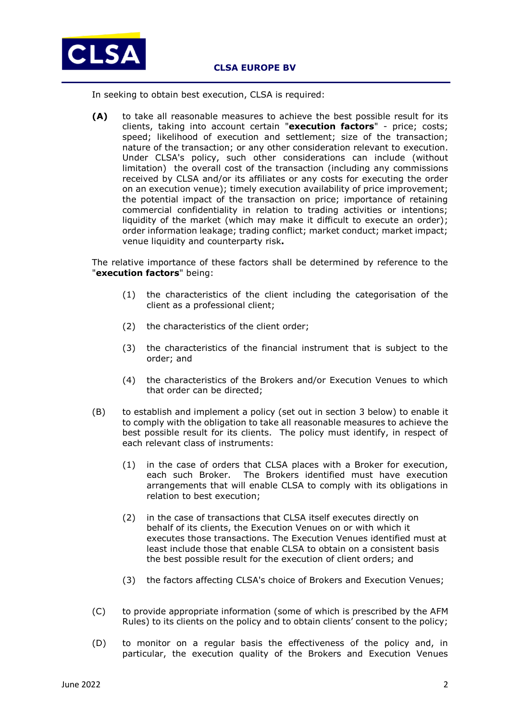

In seeking to obtain best execution, CLSA is required:

**(A)** to take all reasonable measures to achieve the best possible result for its clients, taking into account certain "**execution factors**" - price; costs; speed; likelihood of execution and settlement; size of the transaction; nature of the transaction; or any other consideration relevant to execution. Under CLSA's policy, such other considerations can include (without limitation) the overall cost of the transaction (including any commissions received by CLSA and/or its affiliates or any costs for executing the order on an execution venue); timely execution availability of price improvement; the potential impact of the transaction on price; importance of retaining commercial confidentiality in relation to trading activities or intentions; liquidity of the market (which may make it difficult to execute an order); order information leakage; trading conflict; market conduct; market impact; venue liquidity and counterparty risk**.** 

The relative importance of these factors shall be determined by reference to the "**execution factors**" being:

- (1) the characteristics of the client including the categorisation of the client as a professional client;
- (2) the characteristics of the client order;
- (3) the characteristics of the financial instrument that is subject to the order; and
- (4) the characteristics of the Brokers and/or Execution Venues to which that order can be directed;
- (B) to establish and implement a policy (set out in section 3 below) to enable it to comply with the obligation to take all reasonable measures to achieve the best possible result for its clients. The policy must identify, in respect of each relevant class of instruments:
	- (1) in the case of orders that CLSA places with a Broker for execution, each such Broker. The Brokers identified must have execution arrangements that will enable CLSA to comply with its obligations in relation to best execution;
	- (2) in the case of transactions that CLSA itself executes directly on behalf of its clients, the Execution Venues on or with which it executes those transactions. The Execution Venues identified must at least include those that enable CLSA to obtain on a consistent basis the best possible result for the execution of client orders; and
	- (3) the factors affecting CLSA's choice of Brokers and Execution Venues;
- (C) to provide appropriate information (some of which is prescribed by the AFM Rules) to its clients on the policy and to obtain clients' consent to the policy;
- (D) to monitor on a regular basis the effectiveness of the policy and, in particular, the execution quality of the Brokers and Execution Venues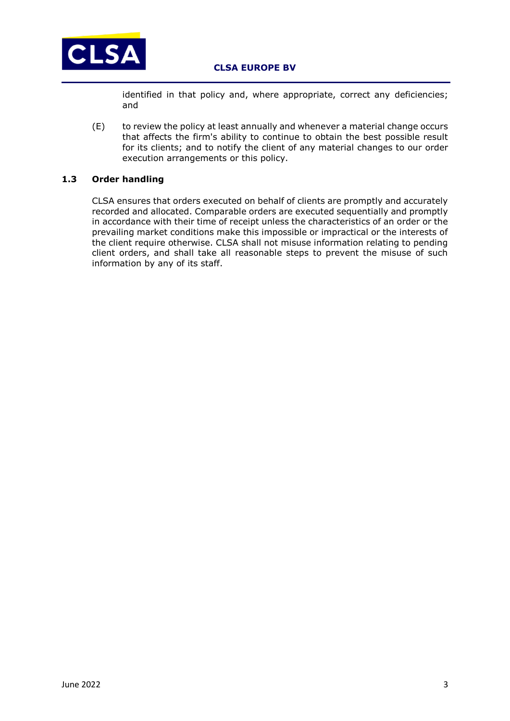

identified in that policy and, where appropriate, correct any deficiencies; and

(E) to review the policy at least annually and whenever a material change occurs that affects the firm's ability to continue to obtain the best possible result for its clients; and to notify the client of any material changes to our order execution arrangements or this policy.

# **1.3 Order handling**

CLSA ensures that orders executed on behalf of clients are promptly and accurately recorded and allocated. Comparable orders are executed sequentially and promptly in accordance with their time of receipt unless the characteristics of an order or the prevailing market conditions make this impossible or impractical or the interests of the client require otherwise. CLSA shall not misuse information relating to pending client orders, and shall take all reasonable steps to prevent the misuse of such information by any of its staff.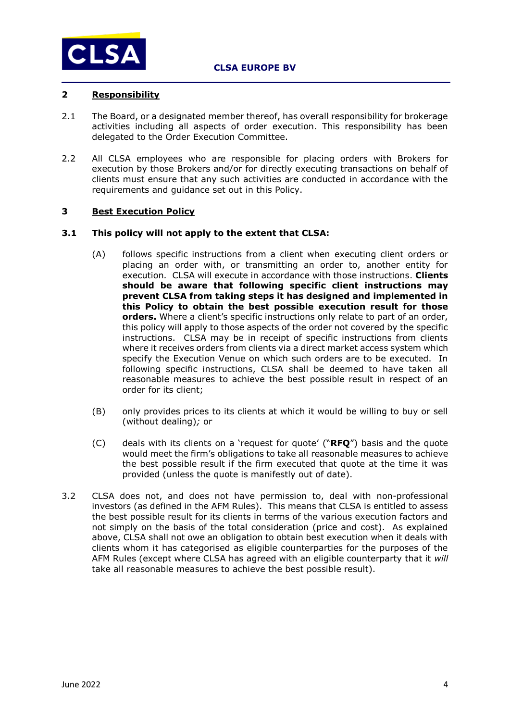

## **2 Responsibility**

- 2.1 The Board, or a designated member thereof, has overall responsibility for brokerage activities including all aspects of order execution. This responsibility has been delegated to the Order Execution Committee.
- 2.2 All CLSA employees who are responsible for placing orders with Brokers for execution by those Brokers and/or for directly executing transactions on behalf of clients must ensure that any such activities are conducted in accordance with the requirements and guidance set out in this Policy.

### **3 Best Execution Policy**

#### **3.1 This policy will not apply to the extent that CLSA:**

- (A) follows specific instructions from a client when executing client orders or placing an order with, or transmitting an order to, another entity for execution*.* CLSA will execute in accordance with those instructions. **Clients should be aware that following specific client instructions may prevent CLSA from taking steps it has designed and implemented in this Policy to obtain the best possible execution result for those orders.** Where a client's specific instructions only relate to part of an order, this policy will apply to those aspects of the order not covered by the specific instructions. CLSA may be in receipt of specific instructions from clients where it receives orders from clients via a direct market access system which specify the Execution Venue on which such orders are to be executed. In following specific instructions, CLSA shall be deemed to have taken all reasonable measures to achieve the best possible result in respect of an order for its client;
- (B) only provides prices to its clients at which it would be willing to buy or sell (without dealing)*;* or
- (C) deals with its clients on a 'request for quote' ("**RFQ**") basis and the quote would meet the firm's obligations to take all reasonable measures to achieve the best possible result if the firm executed that quote at the time it was provided (unless the quote is manifestly out of date).
- 3.2 CLSA does not, and does not have permission to, deal with non-professional investors (as defined in the AFM Rules). This means that CLSA is entitled to assess the best possible result for its clients in terms of the various execution factors and not simply on the basis of the total consideration (price and cost). As explained above, CLSA shall not owe an obligation to obtain best execution when it deals with clients whom it has categorised as eligible counterparties for the purposes of the AFM Rules (except where CLSA has agreed with an eligible counterparty that it *will* take all reasonable measures to achieve the best possible result).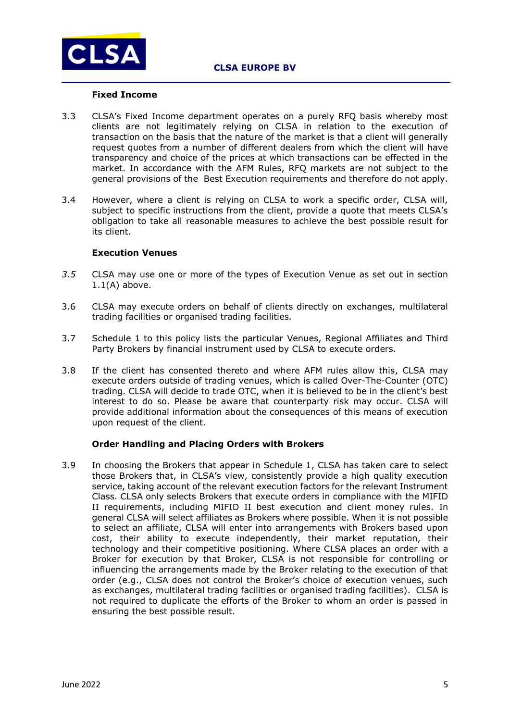

#### **Fixed Income**

- 3.3 CLSA's Fixed Income department operates on a purely RFQ basis whereby most clients are not legitimately relying on CLSA in relation to the execution of transaction on the basis that the nature of the market is that a client will generally request quotes from a number of different dealers from which the client will have transparency and choice of the prices at which transactions can be effected in the market. In accordance with the AFM Rules, RFQ markets are not subject to the general provisions of the Best Execution requirements and therefore do not apply.
- 3.4 However, where a client is relying on CLSA to work a specific order, CLSA will, subject to specific instructions from the client, provide a quote that meets CLSA's obligation to take all reasonable measures to achieve the best possible result for its client.

### **Execution Venues**

- *3.5* CLSA may use one or more of the types of Execution Venue as set out in section 1.1(A) above.
- 3.6 CLSA may execute orders on behalf of clients directly on exchanges, multilateral trading facilities or organised trading facilities*.*
- 3.7 Schedule 1 to this policy lists the particular Venues, Regional Affiliates and Third Party Brokers by financial instrument used by CLSA to execute orders*.*
- 3.8 If the client has consented thereto and where AFM rules allow this, CLSA may execute orders outside of trading venues, which is called Over-The-Counter (OTC) trading. CLSA will decide to trade OTC, when it is believed to be in the client's best interest to do so. Please be aware that counterparty risk may occur. CLSA will provide additional information about the consequences of this means of execution upon request of the client.

### **Order Handling and Placing Orders with Brokers**

3.9 In choosing the Brokers that appear in Schedule 1, CLSA has taken care to select those Brokers that, in CLSA's view, consistently provide a high quality execution service, taking account of the relevant execution factors for the relevant Instrument Class. CLSA only selects Brokers that execute orders in compliance with the MIFID II requirements, including MIFID II best execution and client money rules. In general CLSA will select affiliates as Brokers where possible. When it is not possible to select an affiliate, CLSA will enter into arrangements with Brokers based upon cost, their ability to execute independently, their market reputation, their technology and their competitive positioning. Where CLSA places an order with a Broker for execution by that Broker, CLSA is not responsible for controlling or influencing the arrangements made by the Broker relating to the execution of that order (e.g., CLSA does not control the Broker's choice of execution venues, such as exchanges, multilateral trading facilities or organised trading facilities). CLSA is not required to duplicate the efforts of the Broker to whom an order is passed in ensuring the best possible result.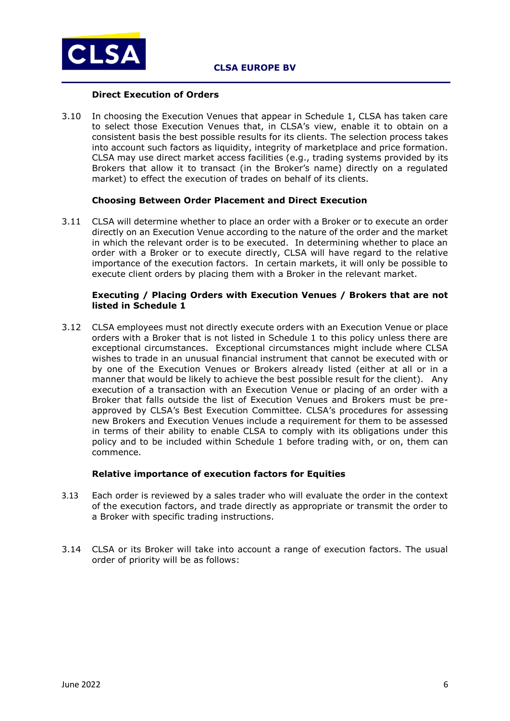

#### **Direct Execution of Orders**

3.10 In choosing the Execution Venues that appear in Schedule 1, CLSA has taken care to select those Execution Venues that, in CLSA's view, enable it to obtain on a consistent basis the best possible results for its clients. The selection process takes into account such factors as liquidity, integrity of marketplace and price formation. CLSA may use direct market access facilities (e.g., trading systems provided by its Brokers that allow it to transact (in the Broker's name) directly on a regulated market) to effect the execution of trades on behalf of its clients.

### **Choosing Between Order Placement and Direct Execution**

3.11 CLSA will determine whether to place an order with a Broker or to execute an order directly on an Execution Venue according to the nature of the order and the market in which the relevant order is to be executed. In determining whether to place an order with a Broker or to execute directly, CLSA will have regard to the relative importance of the execution factors. In certain markets, it will only be possible to execute client orders by placing them with a Broker in the relevant market.

### **Executing / Placing Orders with Execution Venues / Brokers that are not listed in Schedule 1**

3.12 CLSA employees must not directly execute orders with an Execution Venue or place orders with a Broker that is not listed in Schedule 1 to this policy unless there are exceptional circumstances. Exceptional circumstances might include where CLSA wishes to trade in an unusual financial instrument that cannot be executed with or by one of the Execution Venues or Brokers already listed (either at all or in a manner that would be likely to achieve the best possible result for the client). Any execution of a transaction with an Execution Venue or placing of an order with a Broker that falls outside the list of Execution Venues and Brokers must be preapproved by CLSA's Best Execution Committee. CLSA's procedures for assessing new Brokers and Execution Venues include a requirement for them to be assessed in terms of their ability to enable CLSA to comply with its obligations under this policy and to be included within Schedule 1 before trading with, or on, them can commence.

### **Relative importance of execution factors for Equities**

- 3.13 Each order is reviewed by a sales trader who will evaluate the order in the context of the execution factors, and trade directly as appropriate or transmit the order to a Broker with specific trading instructions.
- 3.14 CLSA or its Broker will take into account a range of execution factors. The usual order of priority will be as follows: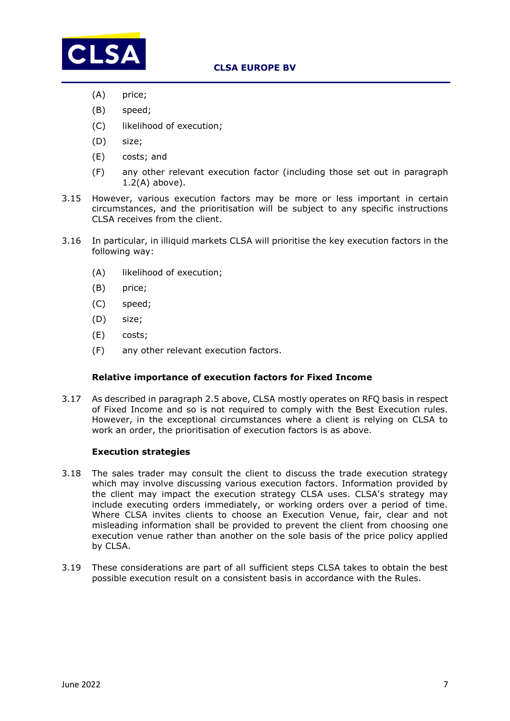

- (A) price;
- (B) speed;
- (C) likelihood of execution;
- (D) size;
- (E) costs; and
- (F) any other relevant execution factor (including those set out in paragraph 1.2(A) above).
- 3.15 However, various execution factors may be more or less important in certain circumstances, and the prioritisation will be subject to any specific instructions CLSA receives from the client.
- 3.16 In particular, in illiquid markets CLSA will prioritise the key execution factors in the following way:
	- (A) likelihood of execution;
	- (B) price;
	- (C) speed;
	- (D) size;
	- (E) costs;
	- (F) any other relevant execution factors.

### **Relative importance of execution factors for Fixed Income**

3.17 As described in paragraph 2.5 above, CLSA mostly operates on RFQ basis in respect of Fixed Income and so is not required to comply with the Best Execution rules. However, in the exceptional circumstances where a client is relying on CLSA to work an order, the prioritisation of execution factors is as above.

### **Execution strategies**

- 3.18 The sales trader may consult the client to discuss the trade execution strategy which may involve discussing various execution factors. Information provided by the client may impact the execution strategy CLSA uses. CLSA's strategy may include executing orders immediately, or working orders over a period of time. Where CLSA invites clients to choose an Execution Venue, fair, clear and not misleading information shall be provided to prevent the client from choosing one execution venue rather than another on the sole basis of the price policy applied by CLSA.
- 3.19 These considerations are part of all sufficient steps CLSA takes to obtain the best possible execution result on a consistent basis in accordance with the Rules.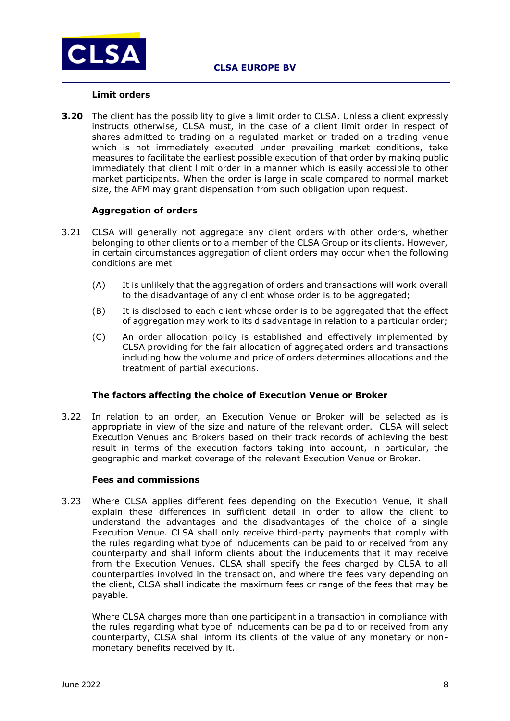

#### **Limit orders**

**3.20** The client has the possibility to give a limit order to CLSA. Unless a client expressly instructs otherwise, CLSA must, in the case of a client limit order in respect of shares admitted to trading on a regulated market or traded on a trading venue which is not immediately executed under prevailing market conditions, take measures to facilitate the earliest possible execution of that order by making public immediately that client limit order in a manner which is easily accessible to other market participants. When the order is large in scale compared to normal market size, the AFM may grant dispensation from such obligation upon request.

### **Aggregation of orders**

- 3.21 CLSA will generally not aggregate any client orders with other orders, whether belonging to other clients or to a member of the CLSA Group or its clients. However, in certain circumstances aggregation of client orders may occur when the following conditions are met:
	- (A) It is unlikely that the aggregation of orders and transactions will work overall to the disadvantage of any client whose order is to be aggregated;
	- (B) It is disclosed to each client whose order is to be aggregated that the effect of aggregation may work to its disadvantage in relation to a particular order;
	- (C) An order allocation policy is established and effectively implemented by CLSA providing for the fair allocation of aggregated orders and transactions including how the volume and price of orders determines allocations and the treatment of partial executions.

### **The factors affecting the choice of Execution Venue or Broker**

3.22 In relation to an order, an Execution Venue or Broker will be selected as is appropriate in view of the size and nature of the relevant order. CLSA will select Execution Venues and Brokers based on their track records of achieving the best result in terms of the execution factors taking into account, in particular, the geographic and market coverage of the relevant Execution Venue or Broker.

#### **Fees and commissions**

3.23 Where CLSA applies different fees depending on the Execution Venue, it shall explain these differences in sufficient detail in order to allow the client to understand the advantages and the disadvantages of the choice of a single Execution Venue. CLSA shall only receive third-party payments that comply with the rules regarding what type of inducements can be paid to or received from any counterparty and shall inform clients about the inducements that it may receive from the Execution Venues. CLSA shall specify the fees charged by CLSA to all counterparties involved in the transaction, and where the fees vary depending on the client, CLSA shall indicate the maximum fees or range of the fees that may be payable.

Where CLSA charges more than one participant in a transaction in compliance with the rules regarding what type of inducements can be paid to or received from any counterparty, CLSA shall inform its clients of the value of any monetary or nonmonetary benefits received by it.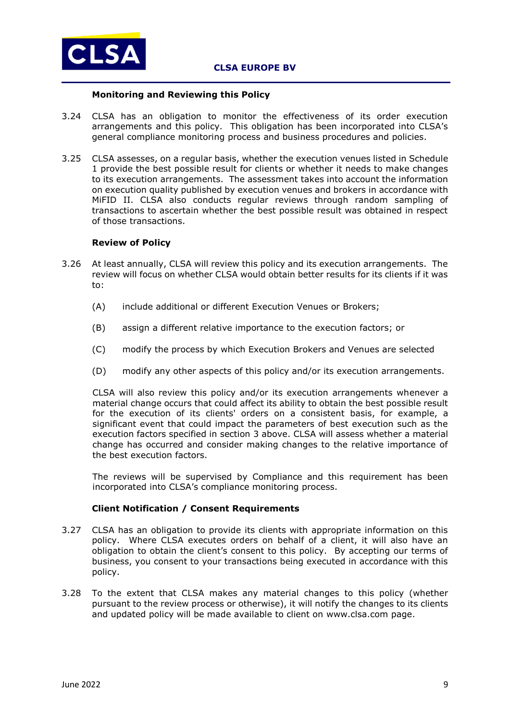

## **Monitoring and Reviewing this Policy**

- 3.24 CLSA has an obligation to monitor the effectiveness of its order execution arrangements and this policy. This obligation has been incorporated into CLSA's general compliance monitoring process and business procedures and policies.
- 3.25 CLSA assesses, on a regular basis, whether the execution venues listed in Schedule 1 provide the best possible result for clients or whether it needs to make changes to its execution arrangements. The assessment takes into account the information on execution quality published by execution venues and brokers in accordance with MiFID II. CLSA also conducts regular reviews through random sampling of transactions to ascertain whether the best possible result was obtained in respect of those transactions.

#### **Review of Policy**

- 3.26 At least annually, CLSA will review this policy and its execution arrangements. The review will focus on whether CLSA would obtain better results for its clients if it was to:
	- (A) include additional or different Execution Venues or Brokers;
	- (B) assign a different relative importance to the execution factors; or
	- (C) modify the process by which Execution Brokers and Venues are selected
	- (D) modify any other aspects of this policy and/or its execution arrangements.

CLSA will also review this policy and/or its execution arrangements whenever a material change occurs that could affect its ability to obtain the best possible result for the execution of its clients' orders on a consistent basis, for example, a significant event that could impact the parameters of best execution such as the execution factors specified in section 3 above. CLSA will assess whether a material change has occurred and consider making changes to the relative importance of the best execution factors.

The reviews will be supervised by Compliance and this requirement has been incorporated into CLSA's compliance monitoring process.

### **Client Notification / Consent Requirements**

- 3.27 CLSA has an obligation to provide its clients with appropriate information on this policy. Where CLSA executes orders on behalf of a client, it will also have an obligation to obtain the client's consent to this policy. By accepting our terms of business, you consent to your transactions being executed in accordance with this policy.
- 3.28 To the extent that CLSA makes any material changes to this policy (whether pursuant to the review process or otherwise), it will notify the changes to its clients and updated policy will be made available to client on [www.clsa.com](http://www.clsa.com/) page.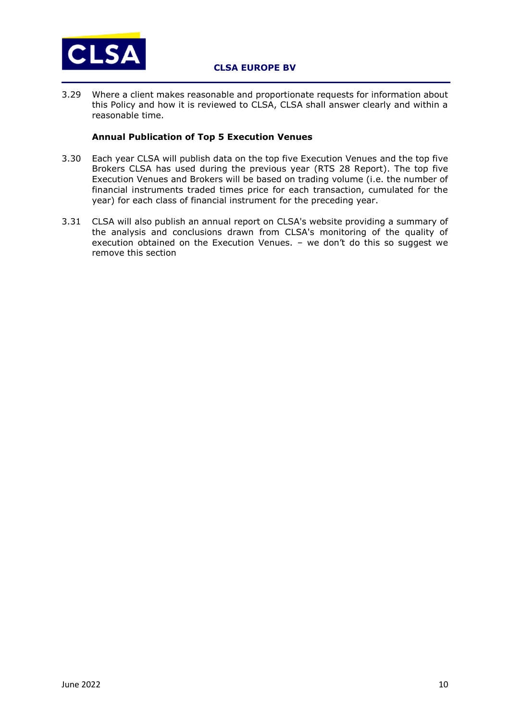

3.29 Where a client makes reasonable and proportionate requests for information about this Policy and how it is reviewed to CLSA, CLSA shall answer clearly and within a reasonable time.

## **Annual Publication of Top 5 Execution Venues**

- 3.30 Each year CLSA will publish data on the top five Execution Venues and the top five Brokers CLSA has used during the previous year (RTS 28 Report). The top five Execution Venues and Brokers will be based on trading volume (i.e. the number of financial instruments traded times price for each transaction, cumulated for the year) for each class of financial instrument for the preceding year.
- 3.31 CLSA will also publish an annual report on CLSA's website providing a summary of the analysis and conclusions drawn from CLSA's monitoring of the quality of execution obtained on the Execution Venues. – we don't do this so suggest we remove this section